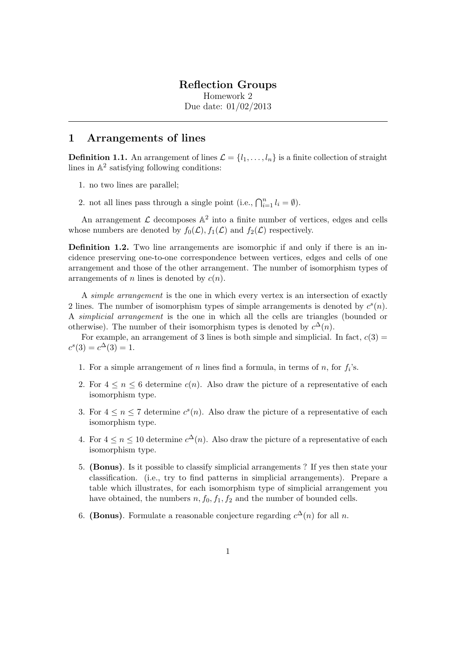## Reflection Groups

Homework 2 Due date: 01/02/2013

## 1 Arrangements of lines

**Definition 1.1.** An arrangement of lines  $\mathcal{L} = \{l_1, \ldots, l_n\}$  is a finite collection of straight lines in  $\mathbb{A}^2$  satisfying following conditions:

- 1. no two lines are parallel;
- 2. not all lines pass through a single point (i.e.,  $\bigcap_{i=1}^n l_i = \emptyset$ ).

An arrangement  $\mathcal L$  decomposes  $\mathbb A^2$  into a finite number of vertices, edges and cells whose numbers are denoted by  $f_0(\mathcal{L}), f_1(\mathcal{L})$  and  $f_2(\mathcal{L})$  respectively.

Definition 1.2. Two line arrangements are isomorphic if and only if there is an incidence preserving one-to-one correspondence between vertices, edges and cells of one arrangement and those of the other arrangement. The number of isomorphism types of arrangements of n lines is denoted by  $c(n)$ .

A simple arrangement is the one in which every vertex is an intersection of exactly 2 lines. The number of isomorphism types of simple arrangements is denoted by  $c<sup>s</sup>(n)$ . A simplicial arrangement is the one in which all the cells are triangles (bounded or otherwise). The number of their isomorphism types is denoted by  $c^{\Delta}(n)$ .

For example, an arrangement of 3 lines is both simple and simplicial. In fact,  $c(3)$  =  $c^{s}(3) = c^{\Delta}(3) = 1.$ 

- 1. For a simple arrangement of n lines find a formula, in terms of n, for  $f_i$ 's.
- 2. For  $4 \leq n \leq 6$  determine  $c(n)$ . Also draw the picture of a representative of each isomorphism type.
- 3. For  $4 \leq n \leq 7$  determine  $c^{s}(n)$ . Also draw the picture of a representative of each isomorphism type.
- 4. For  $4 \leq n \leq 10$  determine  $c^{\Delta}(n)$ . Also draw the picture of a representative of each isomorphism type.
- 5. (Bonus). Is it possible to classify simplicial arrangements ? If yes then state your classification. (i.e., try to find patterns in simplicial arrangements). Prepare a table which illustrates, for each isomorphism type of simplicial arrangement you have obtained, the numbers  $n, f_0, f_1, f_2$  and the number of bounded cells.
- 6. (Bonus). Formulate a reasonable conjecture regarding  $c^{\Delta}(n)$  for all n.